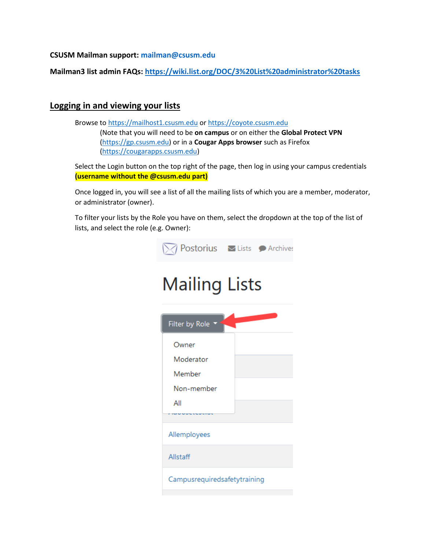**CSUSM Mailman support: [mailman@csusm.edu](mailto:mailman@csusm.edu)**

**Mailman3 list admin FAQs:<https://wiki.list.org/DOC/3%20List%20administrator%20tasks>**

## **Logging in and viewing your lists**

Browse t[o https://mailhost1.csusm.edu](https://mailhost1.csusm.edu/) o[r https://coyote.csusm.edu](https://coyote.csusm.edu/) (Note that you will need to be **on campus** or on either the **Global Protect VPN** [\(https://gp.csusm.edu\)](https://gp.csusm.edu/) or in a **Cougar Apps browser** such as Firefox [\(https://cougarapps.csusm.edu\)](https://cougarapps.csusm.edu/)

Select the Login button on the top right of the page, then log in using your campus credentials **(username without the @csusm.edu part)**

Once logged in, you will see a list of all the mailing lists of which you are a member, moderator, or administrator (owner).

To filter your lists by the Role you have on them, select the dropdown at the top of the list of lists, and select the role (e.g. Owner):

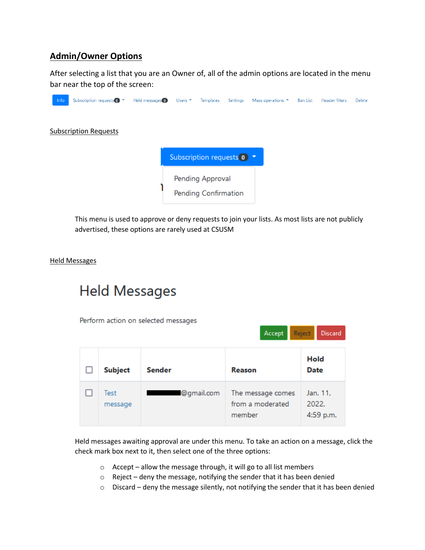## **Admin/Owner Options**

After selecting a list that you are an Owner of, all of the admin options are located in the menu bar near the top of the screen:



This menu is used to approve or deny requests to join your lists. As most lists are not publicly advertised, these options are rarely used at CSUSM

## Held Messages

# **Held Messages**

Perform action on selected messages

|                 |            | Accept                                          | <b>Reject</b><br><b>Discard</b> |
|-----------------|------------|-------------------------------------------------|---------------------------------|
| <b>Subject</b>  | Sender     | Reason                                          | Hold<br>Date                    |
| Test<br>message | @gmail.com | The message comes<br>from a moderated<br>member | Jan. 11,<br>2022,<br>4:59 p.m.  |

Held messages awaiting approval are under this menu. To take an action on a message, click the check mark box next to it, then select one of the three options:

- $\circ$  Accept allow the message through, it will go to all list members
- o Reject deny the message, notifying the sender that it has been denied
- $\circ$  Discard deny the message silently, not notifying the sender that it has been denied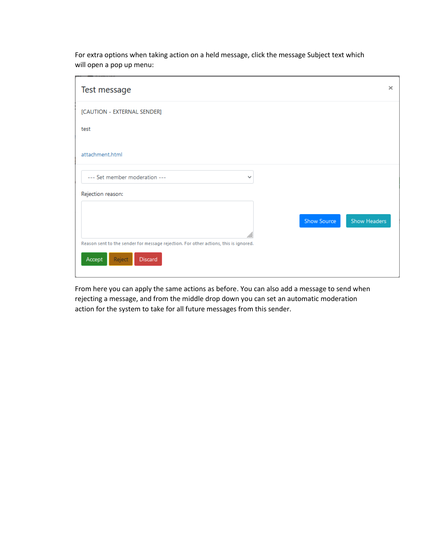| Test message                                                                                                        | $\times$                    |
|---------------------------------------------------------------------------------------------------------------------|-----------------------------|
| [CAUTION - EXTERNAL SENDER]                                                                                         |                             |
| test                                                                                                                |                             |
| attachment.html                                                                                                     |                             |
| --- Set member moderation ---<br>$\checkmark$                                                                       |                             |
| Rejection reason:                                                                                                   |                             |
| M.                                                                                                                  | Show Headers<br>Show Source |
| Reason sent to the sender for message rejection. For other actions, this is ignored.<br>Accept<br>Reject<br>Discard |                             |

For extra options when taking action on a held message, click the message Subject text which will open a pop up menu:

From here you can apply the same actions as before. You can also add a message to send when rejecting a message, and from the middle drop down you can set an automatic moderation action for the system to take for all future messages from this sender.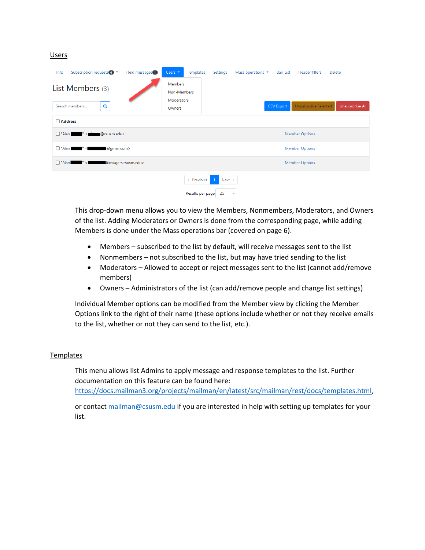#### Users

| Subscription requests 0 <b>v</b><br>Held messages <sup>1</sup><br>Info | Templates<br>Users $\blacktriangledown$<br>Settings<br>Mass operations $\blacktriangledown$ | <b>Ban List</b><br><b>Header filters</b><br><b>Delete</b> |  |  |  |  |  |
|------------------------------------------------------------------------|---------------------------------------------------------------------------------------------|-----------------------------------------------------------|--|--|--|--|--|
| List Members (3)<br>Q<br>Search members                                | <b>Members</b><br>Non-Members<br>Moderators<br><b>CSV Export</b><br>Owners                  | <b>Unsubscribe Selected</b><br>Unsubscribe All            |  |  |  |  |  |
| □ Address                                                              |                                                                                             |                                                           |  |  |  |  |  |
| $\Box$ "Alan<br>@csusm.edu><br>" <.                                    | <b>Member Options</b>                                                                       |                                                           |  |  |  |  |  |
| $\Box$ "Alan<br>@gmail.com><br>≺                                       | <b>Member Options</b>                                                                       |                                                           |  |  |  |  |  |
| $\Box$ "Alan<br>@cougars.csusm.edu><br>$\sim$                          | <b>Member Options</b>                                                                       |                                                           |  |  |  |  |  |
|                                                                        | Next $\rightarrow$<br>$\leftarrow$ Previous<br>Results per page: 25<br>$\check{~}$          |                                                           |  |  |  |  |  |

This drop-down menu allows you to view the Members, Nonmembers, Moderators, and Owners of the list. Adding Moderators or Owners is done from the corresponding page, while adding Members is done under the Mass operations bar (covered on page 6).

- Members subscribed to the list by default, will receive messages sent to the list
- Nonmembers not subscribed to the list, but may have tried sending to the list
- Moderators Allowed to accept or reject messages sent to the list (cannot add/remove members)
- Owners Administrators of the list (can add/remove people and change list settings)

Individual Member options can be modified from the Member view by clicking the Member Options link to the right of their name (these options include whether or not they receive emails to the list, whether or not they can send to the list, etc.).

#### **Templates**

This menu allows list Admins to apply message and response templates to the list. Further documentation on this feature can be found here: [https://docs.mailman3.org/projects/mailman/en/latest/src/mailman/rest/docs/templates.html,](https://docs.mailman3.org/projects/mailman/en/latest/src/mailman/rest/docs/templates.html)

or contact [mailman@csusm.edu](mailto:mailman@csusm.edu) if you are interested in help with setting up templates for your list.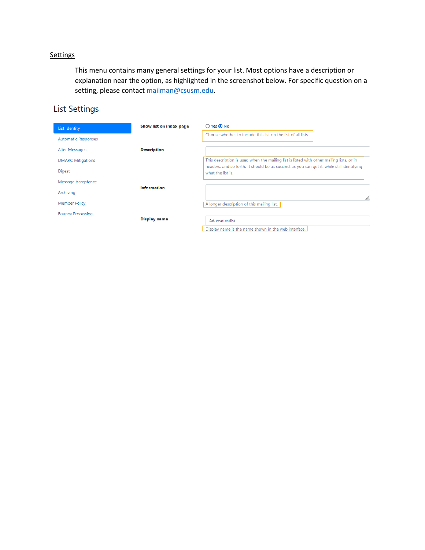## **Settings**

This menu contains many general settings for your list. Most options have a description or explanation near the option, as highlighted in the screenshot below. For specific question on a setting, please contact [mailman@csusm.edu.](mailto:mailman@csusm.edu)

## **List Settings**

| List Identity              | Show list on index page | ○ Yes ● No                                                                                                      |
|----------------------------|-------------------------|-----------------------------------------------------------------------------------------------------------------|
| <b>Automatic Responses</b> |                         | Choose whether to include this list on the list of all lists                                                    |
| Alter Messages             | <b>Description</b>      |                                                                                                                 |
| <b>DMARC Mitigations</b>   |                         | This description is used when the mailing list is listed with other mailing lists, or in                        |
| <b>Digest</b>              |                         | headers, and so forth. It should be as succinct as you can get it, while still identifying<br>what the list is. |
| Message Acceptance         |                         |                                                                                                                 |
| Archiving                  | <b>Information</b>      | M.                                                                                                              |
| <b>Member Policy</b>       |                         | A longer description of this mailing list.                                                                      |
| <b>Bounce Processing</b>   |                         |                                                                                                                 |
|                            | <b>Display name</b>     | Adoosetestlist                                                                                                  |
|                            |                         | Display name is the name shown in the web interface.                                                            |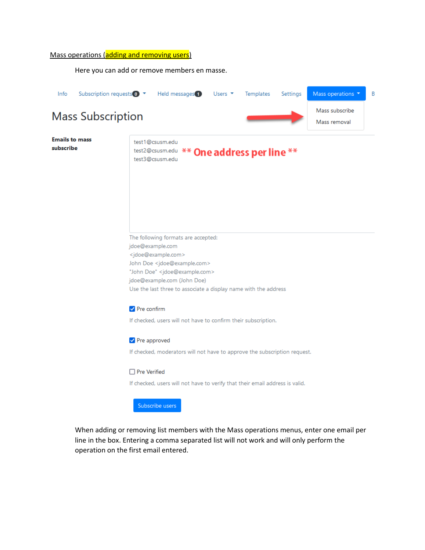### Mass operations (adding and removing users)

Here you can add or remove members en masse.



Subscribe users

When adding or removing list members with the Mass operations menus, enter one email per line in the box. Entering a comma separated list will not work and will only perform the operation on the first email entered.